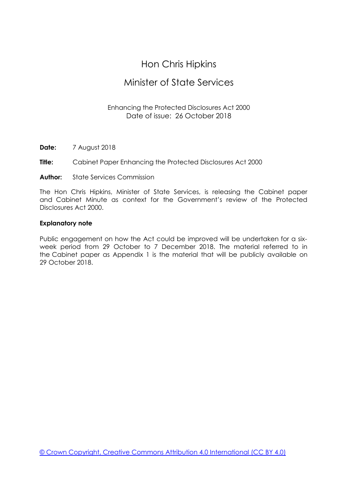# Hon Chris Hipkins

# Minister of State Services

# Enhancing the Protected Disclosures Act 2000 Date of issue: 26 October 2018

- **Date:** 7 August 2018
- **Title:** Cabinet Paper Enhancing the Protected Disclosures Act 2000
- **Author:** State Services Commission

The Hon Chris Hipkins, Minister of State Services, is releasing the Cabinet paper and Cabinet Minute as context for the Government's review of the Protected Disclosures Act 2000.

# **Explanatory note**

Public engagement on how the Act could be improved will be undertaken for a sixweek period from 29 October to 7 December 2018. The material referred to in the Cabinet paper as Appendix 1 is the material that will be publicly available on 29 October 2018.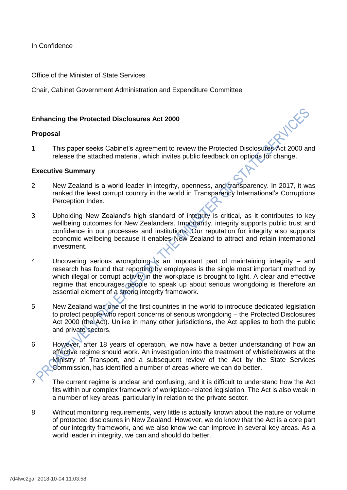In Confidence

Office of the Minister of State Services

Chair, Cabinet Government Administration and Expenditure Committee

# **Enhancing the Protected Disclosures Act 2000**

#### **Proposal**

1 This paper seeks Cabinet's agreement to review the Protected Disclosures Act 2000 and release the attached material, which invites public feedback on options for change.

**WCKS** 

#### **Executive Summary**

- 2 New Zealand is a world leader in integrity, openness, and transparency. In 2017, it was ranked the least corrupt country in the world in Transparency International's Corruptions Perception Index.
- 3 Upholding New Zealand's high standard of integrity is critical, as it contributes to key wellbeing outcomes for New Zealanders. Importantly, integrity supports public trust and confidence in our processes and institutions. Our reputation for integrity also supports economic wellbeing because it enables New Zealand to attract and retain international investment.
- 4 Uncovering serious wrongdoing is an important part of maintaining integrity and research has found that reporting by employees is the single most important method by which illegal or corrupt activity in the workplace is brought to light. A clear and effective regime that encourages people to speak up about serious wrongdoing is therefore an essential element of a strong integrity framework.
- 5 New Zealand was one of the first countries in the world to introduce dedicated legislation to protect people who report concerns of serious wrongdoing – the Protected Disclosures Act 2000 (the Act). Unlike in many other jurisdictions, the Act applies to both the public and private sectors.
- 6 However, after 18 years of operation, we now have a better understanding of how an effective regime should work. An investigation into the treatment of whistleblowers at the Ministry of Transport, and a subsequent review of the Act by the State Services Commission, has identified a number of areas where we can do better.
- 7 The current regime is unclear and confusing, and it is difficult to understand how the Act fits within our complex framework of workplace-related legislation. The Act is also weak in a number of key areas, particularly in relation to the private sector.
- 8 Without monitoring requirements, very little is actually known about the nature or volume of protected disclosures in New Zealand. However, we do know that the Act is a core part of our integrity framework, and we also know we can improve in several key areas. As a world leader in integrity, we can and should do better.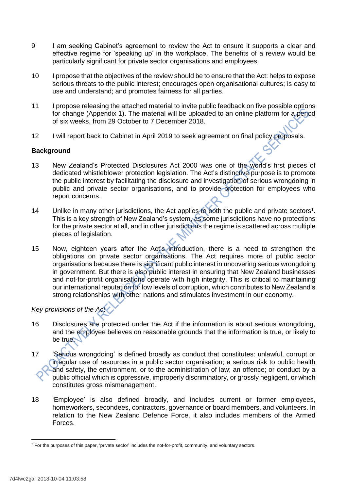- 9 I am seeking Cabinet's agreement to review the Act to ensure it supports a clear and effective regime for 'speaking up' in the workplace. The benefits of a review would be particularly significant for private sector organisations and employees.
- 10 I propose that the objectives of the review should be to ensure that the Act: helps to expose serious threats to the public interest; encourages open organisational cultures; is easy to use and understand; and promotes fairness for all parties.
- 11 I propose releasing the attached material to invite public feedback on five possible options for change (Appendix 1). The material will be uploaded to an online platform for a period of six weeks, from 29 October to 7 December 2018.
- 12 I will report back to Cabinet in April 2019 to seek agreement on final policy proposals.

# **Background**

- 13 New Zealand's Protected Disclosures Act 2000 was one of the world's first pieces of dedicated whistleblower protection legislation. The Act's distinctive purpose is to promote the public interest by facilitating the disclosure and investigation of serious wrongdoing in public and private sector organisations, and to provide protection for employees who report concerns.
- 14 Unlike in many other jurisdictions, the Act applies to both the public and private sectors<sup>1</sup>. This is a key strength of New Zealand's system, as some jurisdictions have no protections for the private sector at all, and in other jurisdictions the regime is scattered across multiple pieces of legislation.
- 15 Now, eighteen years after the Act's introduction, there is a need to strengthen the obligations on private sector organisations. The Act requires more of public sector organisations because there is significant public interest in uncovering serious wrongdoing in government. But there is also public interest in ensuring that New Zealand businesses and not-for-profit organisations operate with high integrity. This is critical to maintaining our international reputation for low levels of corruption, which contributes to New Zealand's strong relationships with other nations and stimulates investment in our economy.

*Key provisions of the Act*

- 16 Disclosures are protected under the Act if the information is about serious wrongdoing, and the employee believes on reasonable grounds that the information is true, or likely to be true.
- 17 'Serious wrongdoing' is defined broadly as conduct that constitutes: unlawful, corrupt or irregular use of resources in a public sector organisation; a serious risk to public health and safety, the environment, or to the administration of law; an offence; or conduct by a public official which is oppressive, improperly discriminatory, or grossly negligent, or which constitutes gross mismanagement.
- 18 'Employee' is also defined broadly, and includes current or former employees, homeworkers, secondees, contractors, governance or board members, and volunteers. In relation to the New Zealand Defence Force, it also includes members of the Armed Forces.

**.** 

<sup>1</sup> For the purposes of this paper, 'private sector' includes the not-for-profit, community, and voluntary sectors.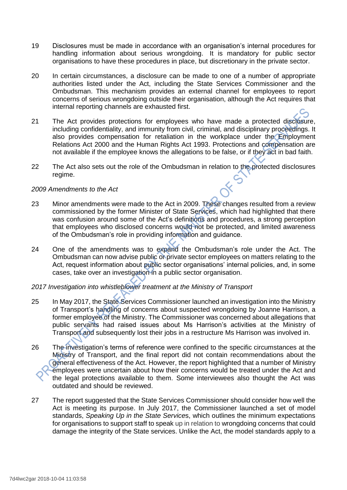- 19 Disclosures must be made in accordance with an organisation's internal procedures for handling information about serious wrongdoing. It is mandatory for public sector organisations to have these procedures in place, but discretionary in the private sector.
- 20 In certain circumstances, a disclosure can be made to one of a number of appropriate authorities listed under the Act, including the State Services Commissioner and the Ombudsman. This mechanism provides an external channel for employees to report concerns of serious wrongdoing outside their organisation, although the Act requires that internal reporting channels are exhausted first.
- 21 The Act provides protections for employees who have made a protected disclosure, including confidentiality, and immunity from civil, criminal, and disciplinary proceedings. It also provides compensation for retaliation in the workplace under the Employment Relations Act 2000 and the Human Rights Act 1993. Protections and compensation are not available if the employee knows the allegations to be false, or if they act in bad faith.
- 22 The Act also sets out the role of the Ombudsman in relation to the protected disclosures regime.

#### *2009 Amendments to the Act*

- 23 Minor amendments were made to the Act in 2009. These changes resulted from a review commissioned by the former Minister of State Services, which had highlighted that there was confusion around some of the Act's definitions and procedures, a strong perception that employees who disclosed concerns would not be protected, and limited awareness of the Ombudsman's role in providing information and guidance.
- 24 One of the amendments was to expand the Ombudsman's role under the Act. The Ombudsman can now advise public or private sector employees on matters relating to the Act, request information about public sector organisations' internal policies, and, in some cases, take over an investigation in a public sector organisation.

# *2017 Investigation into whistleblower treatment at the Ministry of Transport*

- 25 In May 2017, the State Services Commissioner launched an investigation into the Ministry of Transport's handling of concerns about suspected wrongdoing by Joanne Harrison, a former employee of the Ministry. The Commissioner was concerned about allegations that public servants had raised issues about Ms Harrison's activities at the Ministry of Transport and subsequently lost their jobs in a restructure Ms Harrison was involved in.
- 26 The investigation's terms of reference were confined to the specific circumstances at the Ministry of Transport, and the final report did not contain recommendations about the general effectiveness of the Act. However, the report highlighted that a number of Ministry employees were uncertain about how their concerns would be treated under the Act and the legal protections available to them. Some interviewees also thought the Act was outdated and should be reviewed.
- 27 The report suggested that the State Services Commissioner should consider how well the Act is meeting its purpose. In July 2017, the Commissioner launched a set of model standards, *Speaking Up in the State Service*s, which outlines the minimum expectations for organisations to support staff to speak up in relation to wrongdoing concerns that could damage the integrity of the State services. Unlike the Act, the model standards apply to a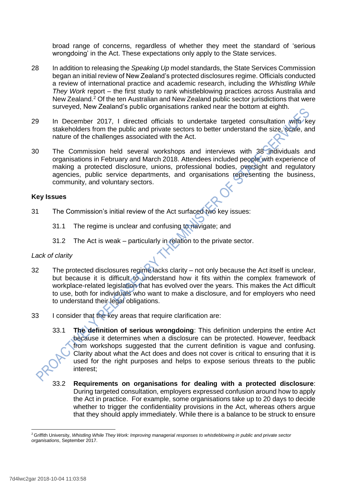broad range of concerns, regardless of whether they meet the standard of 'serious wrongdoing' in the Act. These expectations only apply to the State services.

- 28 In addition to releasing the *Speaking Up* model standards, the State Services Commission began an initial review of New Zealand's protected disclosures regime. Officials conducted a review of international practice and academic research, including the *Whistling While They Work* report – the first study to rank whistleblowing practices across Australia and New Zealand.<sup>2</sup> Of the ten Australian and New Zealand public sector jurisdictions that were surveyed, New Zealand's public organisations ranked near the bottom at eighth.
- 29 In December 2017, I directed officials to undertake targeted consultation with key stakeholders from the public and private sectors to better understand the size, scale, and nature of the challenges associated with the Act.
- 30 The Commission held several workshops and interviews with 38 individuals and organisations in February and March 2018. Attendees included people with experience of making a protected disclosure, unions, professional bodies, oversight and regulatory agencies, public service departments, and organisations representing the business, community, and voluntary sectors.

# **Key Issues**

- 31 The Commission's initial review of the Act surfaced two key issues:
	- 31.1 The regime is unclear and confusing to navigate; and
	- 31.2 The Act is weak particularly in relation to the private sector.

# *Lack of clarity*

- 32 The protected disclosures regime lacks clarity not only because the Act itself is unclear, but because it is difficult to understand how it fits within the complex framework of workplace-related legislation that has evolved over the years. This makes the Act difficult to use, both for individuals who want to make a disclosure, and for employers who need to understand their legal obligations.
- 33 I consider that the key areas that require clarification are:
	- 33.1 **The definition of serious wrongdoing**: This definition underpins the entire Act because it determines when a disclosure can be protected. However, feedback from workshops suggested that the current definition is vague and confusing. Clarity about what the Act does and does not cover is critical to ensuring that it is used for the right purposes and helps to expose serious threats to the public interest;
	- 33.2 **Requirements on organisations for dealing with a protected disclosure**: During targeted consultation, employers expressed confusion around how to apply the Act in practice. For example, some organisations take up to 20 days to decide whether to trigger the confidentiality provisions in the Act, whereas others argue that they should apply immediately. While there is a balance to be struck to ensure

**<sup>.</sup>** <sup>2</sup> Griffith University, *Whistling While They Work: Improving managerial responses to whistleblowing in public and private sector organisations*, September 2017.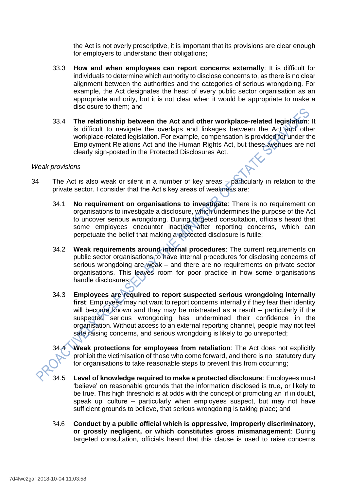the Act is not overly prescriptive, it is important that its provisions are clear enough for employers to understand their obligations;

- 33.3 **How and when employees can report concerns externally**: It is difficult for individuals to determine which authority to disclose concerns to, as there is no clear alignment between the authorities and the categories of serious wrongdoing. For example, the Act designates the head of every public sector organisation as an appropriate authority, but it is not clear when it would be appropriate to make a disclosure to them; and
- 33.4 **The relationship between the Act and other workplace-related legislation**: It is difficult to navigate the overlaps and linkages between the Act and other workplace-related legislation. For example, compensation is provided for under the Employment Relations Act and the Human Rights Act, but these avenues are not clearly sign-posted in the Protected Disclosures Act.

#### *Weak provisions*

- 34 The Act is also weak or silent in a number of key areas particularly in relation to the private sector. I consider that the Act's key areas of weakness are:
	- 34.1 **No requirement on organisations to investigate**: There is no requirement on organisations to investigate a disclosure, which undermines the purpose of the Act to uncover serious wrongdoing. During targeted consultation, officials heard that some employees encounter inaction after reporting concerns, which can perpetuate the belief that making a protected disclosure is futile;
	- 34.2 **Weak requirements around internal procedures**: The current requirements on public sector organisations to have internal procedures for disclosing concerns of serious wrongdoing are weak – and there are no requirements on private sector organisations. This leaves room for poor practice in how some organisations handle disclosures;
	- 34.3 **Employees are required to report suspected serious wrongdoing internally first**: Employees may not want to report concerns internally if they fear their identity will become known and they may be mistreated as a result – particularly if the suspected serious wrongdoing has undermined their confidence in the organisation. Without access to an external reporting channel, people may not feel safe raising concerns, and serious wrongdoing is likely to go unreported;

34.4 **Weak protections for employees from retaliation**: The Act does not explicitly prohibit the victimisation of those who come forward, and there is no statutory duty for organisations to take reasonable steps to prevent this from occurring;

- 34.5 **Level of knowledge required to make a protected disclosure**: Employees must 'believe' on reasonable grounds that the information disclosed is true, or likely to be true. This high threshold is at odds with the concept of promoting an 'if in doubt, speak up' culture – particularly when employees suspect, but may not have sufficient grounds to believe, that serious wrongdoing is taking place; and
- 34.6 **Conduct by a public official which is oppressive, improperly discriminatory, or grossly negligent, or which constitutes gross mismanagement**: During targeted consultation, officials heard that this clause is used to raise concerns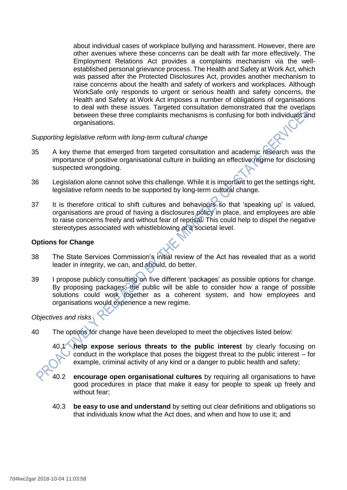about individual cases of workplace bullying and harassment. However, there are other avenues where these concerns can be dealt with far more effectively. The Employment Relations Act provides a complaints mechanism via the wellestablished personal grievance process. The Health and Safety at Work Act, which was passed after the Protected Disclosures Act, provides another mechanism to raise concerns about the health and safety of workers and workplaces. Although WorkSafe only responds to urgent or serious health and safety concerns, the Health and Safety at Work Act imposes a number of obligations of organisations to deal with these issues. Targeted consultation demonstrated that the overlaps between these three complaints mechanisms is confusing for both individuals and organisations.

# *Supporting legislative reform with long-term cultural change*

- 35 A key theme that emerged from targeted consultation and academic research was the importance of positive organisational culture in building an effective regime for disclosing suspected wrongdoing.
- 36 Legislation alone cannot solve this challenge. While it is important to get the settings right, legislative reform needs to be supported by long-term cultural change.
- 37 It is therefore critical to shift cultures and behaviours so that 'speaking up' is valued, organisations are proud of having a disclosures policy in place, and employees are able to raise concerns freely and without fear of reprisal. This could help to dispel the negative stereotypes associated with whistleblowing at a societal level.

# **Options for Change**

- 38 The State Services Commission's initial review of the Act has revealed that as a world leader in integrity, we can, and should, do better.
- 39 I propose publicly consulting on five different 'packages' as possible options for change. By proposing packages, the public will be able to consider how a range of possible solutions could work together as a coherent system, and how employees and organisations would experience a new regime.

# *Objectives and risks*

40 The options for change have been developed to meet the objectives listed below:

40.1 **help expose serious threats to the public interest** by clearly focusing on conduct in the workplace that poses the biggest threat to the public interest – for example, criminal activity of any kind or a danger to public health and safety;

- 40.2 **encourage open organisational cultures** by requiring all organisations to have good procedures in place that make it easy for people to speak up freely and without fear;
- 40.3 **be easy to use and understand** by setting out clear definitions and obligations so that individuals know what the Act does, and when and how to use it; and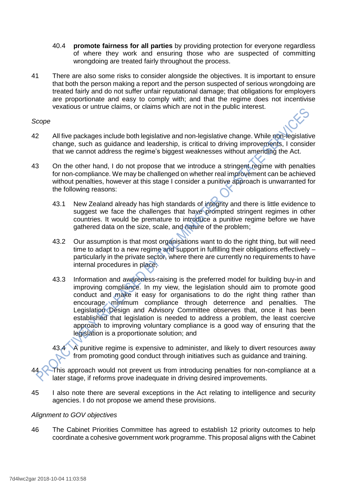- 40.4 **promote fairness for all parties** by providing protection for everyone regardless of where they work and ensuring those who are suspected of committing wrongdoing are treated fairly throughout the process.
- 41 There are also some risks to consider alongside the objectives. It is important to ensure that both the person making a report and the person suspected of serious wrongdoing are treated fairly and do not suffer unfair reputational damage; that obligations for employers are proportionate and easy to comply with; and that the regime does not incentivise vexatious or untrue claims, or claims which are not in the public interest.

### *Scope*

- 42 All five packages include both legislative and non-legislative change. While non-legislative change, such as guidance and leadership, is critical to driving improvements, I consider that we cannot address the regime's biggest weaknesses without amending the Act.
- 43 On the other hand, I do not propose that we introduce a stringent regime with penalties for non-compliance. We may be challenged on whether real improvement can be achieved without penalties, however at this stage I consider a punitive approach is unwarranted for the following reasons:
	- 43.1 New Zealand already has high standards of integrity and there is little evidence to suggest we face the challenges that have prompted stringent regimes in other countries. It would be premature to introduce a punitive regime before we have gathered data on the size, scale, and nature of the problem;
	- 43.2 Our assumption is that most organisations want to do the right thing, but will need time to adapt to a new regime and support in fulfilling their obligations effectively – particularly in the private sector, where there are currently no requirements to have internal procedures in place;
	- 43.3 Information and awareness-raising is the preferred model for building buy-in and improving compliance. In my view, the legislation should aim to promote good conduct and make it easy for organisations to do the right thing rather than encourage minimum compliance through deterrence and penalties. The Legislation Design and Advisory Committee observes that, once it has been established that legislation is needed to address a problem, the least coercive approach to improving voluntary compliance is a good way of ensuring that the legislation is a proportionate solution; and

43.4 A punitive regime is expensive to administer, and likely to divert resources away from promoting good conduct through initiatives such as guidance and training.

This approach would not prevent us from introducing penalties for non-compliance at a later stage, if reforms prove inadequate in driving desired improvements.

45 I also note there are several exceptions in the Act relating to intelligence and security agencies. I do not propose we amend these provisions.

# *Alignment to GOV objectives*

46 The Cabinet Priorities Committee has agreed to establish 12 priority outcomes to help coordinate a cohesive government work programme. This proposal aligns with the Cabinet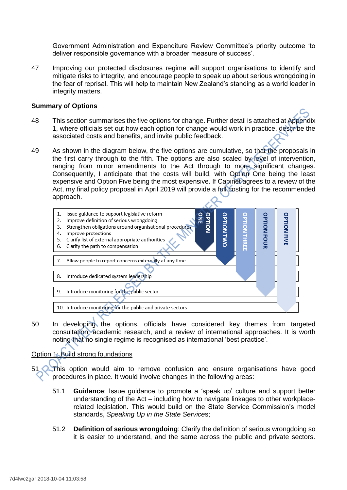Government Administration and Expenditure Review Committee's priority outcome 'to deliver responsible governance with a broader measure of success'.

47 Improving our protected disclosures regime will support organisations to identify and mitigate risks to integrity, and encourage people to speak up about serious wrongdoing in the fear of reprisal. This will help to maintain New Zealand's standing as a world leader in integrity matters.

#### **Summary of Options**

- 48 This section summarises the five options for change. Further detail is attached at Appendix 1, where officials set out how each option for change would work in practice, describe the associated costs and benefits, and invite public feedback.
- 49 As shown in the diagram below, the five options are cumulative, so that the proposals in the first carry through to the fifth. The options are also scaled by level of intervention, ranging from minor amendments to the Act through to more significant changes. Consequently, I anticipate that the costs will build, with Option One being the least expensive and Option Five being the most expensive. If Cabinet agrees to a review of the Act, my final policy proposal in April 2019 will provide a full costing for the recommended approach.



50 In developing the options, officials have considered key themes from targeted consultation, academic research, and a review of international approaches. It is worth noting that no single regime is recognised as international 'best practice'.

# Option 1: Build strong foundations

This option would aim to remove confusion and ensure organisations have good procedures in place. It would involve changes in the following areas:

- 51.1 **Guidance**: Issue guidance to promote a 'speak up' culture and support better understanding of the Act – including how to navigate linkages to other workplacerelated legislation. This would build on the State Service Commission's model standards, *Speaking Up in the State Service*s;
- 51.2 **Definition of serious wrongdoing**: Clarify the definition of serious wrongdoing so it is easier to understand, and the same across the public and private sectors.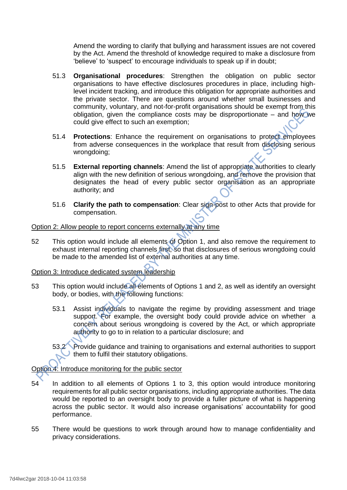Amend the wording to clarify that bullying and harassment issues are not covered by the Act. Amend the threshold of knowledge required to make a disclosure from 'believe' to 'suspect' to encourage individuals to speak up if in doubt;

- 51.3 **Organisational procedures**: Strengthen the obligation on public sector organisations to have effective disclosures procedures in place, including highlevel incident tracking, and introduce this obligation for appropriate authorities and the private sector. There are questions around whether small businesses and community, voluntary, and not-for-profit organisations should be exempt from this obligation, given the compliance costs may be disproportionate – and how we could give effect to such an exemption;
- 51.4 **Protections**: Enhance the requirement on organisations to protect employees from adverse consequences in the workplace that result from disclosing serious wrongdoing;
- 51.5 **External reporting channels**: Amend the list of appropriate authorities to clearly align with the new definition of serious wrongdoing, and remove the provision that designates the head of every public sector organisation as an appropriate authority; and
- 51.6 **Clarify the path to compensation**: Clear sign-post to other Acts that provide for compensation.

# Option 2: Allow people to report concerns externally at any time

52 This option would include all elements of Option 1, and also remove the requirement to exhaust internal reporting channels first, so that disclosures of serious wrongdoing could be made to the amended list of external authorities at any time.

# Option 3: Introduce dedicated system leadership

- 53 This option would include all elements of Options 1 and 2, as well as identify an oversight body, or bodies, with the following functions:
	- 53.1 Assist individuals to navigate the regime by providing assessment and triage support. For example, the oversight body could provide advice on whether a concern about serious wrongdoing is covered by the Act, or which appropriate authority to go to in relation to a particular disclosure; and

53.2 Provide guidance and training to organisations and external authorities to support them to fulfil their statutory obligations.

Option 4: Introduce monitoring for the public sector

- 54 In addition to all elements of Options 1 to 3, this option would introduce monitoring requirements for all public sector organisations, including appropriate authorities. The data would be reported to an oversight body to provide a fuller picture of what is happening across the public sector. It would also increase organisations' accountability for good performance.
- 55 There would be questions to work through around how to manage confidentiality and privacy considerations.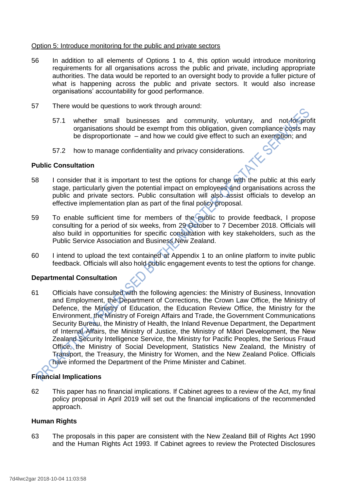### Option 5: Introduce monitoring for the public and private sectors

- 56 In addition to all elements of Options 1 to 4, this option would introduce monitoring requirements for all organisations across the public and private, including appropriate authorities. The data would be reported to an oversight body to provide a fuller picture of what is happening across the public and private sectors. It would also increase organisations' accountability for good performance.
- 57 There would be questions to work through around:
	- 57.1 whether small businesses and community, voluntary, and not-for-profit organisations should be exempt from this obligation, given compliance costs may be disproportionate – and how we could give effect to such an exemption; and
	- 57.2 how to manage confidentiality and privacy considerations.

#### **Public Consultation**

- 58 I consider that it is important to test the options for change with the public at this early stage, particularly given the potential impact on employees and organisations across the public and private sectors. Public consultation will also assist officials to develop an effective implementation plan as part of the final policy proposal.
- 59 To enable sufficient time for members of the public to provide feedback, I propose consulting for a period of six weeks, from 29 October to 7 December 2018. Officials will also build in opportunities for specific consultation with key stakeholders, such as the Public Service Association and Business New Zealand.
- 60 I intend to upload the text contained at Appendix 1 to an online platform to invite public feedback. Officials will also hold public engagement events to test the options for change.

# **Departmental Consultation**

61 Officials have consulted with the following agencies: the Ministry of Business, Innovation and Employment, the Department of Corrections, the Crown Law Office, the Ministry of Defence, the Ministry of Education, the Education Review Office, the Ministry for the Environment, the Ministry of Foreign Affairs and Trade, the Government Communications Security Bureau, the Ministry of Health, the Inland Revenue Department, the Department of Internal Affairs, the Ministry of Justice, the Ministry of Māori Development, the New Zealand Security Intelligence Service, the Ministry for Pacific Peoples, the Serious Fraud Office, the Ministry of Social Development, Statistics New Zealand, the Ministry of Transport, the Treasury, the Ministry for Women, and the New Zealand Police. Officials have informed the Department of the Prime Minister and Cabinet.

# **Financial Implications**

62 This paper has no financial implications. If Cabinet agrees to a review of the Act, my final policy proposal in April 2019 will set out the financial implications of the recommended approach.

#### **Human Rights**

63 The proposals in this paper are consistent with the New Zealand Bill of Rights Act 1990 and the Human Rights Act 1993. If Cabinet agrees to review the Protected Disclosures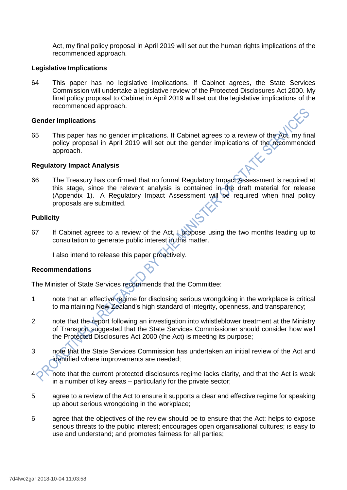Act, my final policy proposal in April 2019 will set out the human rights implications of the recommended approach.

#### **Legislative Implications**

64 This paper has no legislative implications. If Cabinet agrees, the State Services Commission will undertake a legislative review of the Protected Disclosures Act 2000. My final policy proposal to Cabinet in April 2019 will set out the legislative implications of the recommended approach.

#### **Gender Implications**

65 This paper has no gender implications. If Cabinet agrees to a review of the Act, my final policy proposal in April 2019 will set out the gender implications of the recommended approach.

#### **Regulatory Impact Analysis**

66 The Treasury has confirmed that no formal Regulatory Impact Assessment is required at this stage, since the relevant analysis is contained in the draft material for release (Appendix 1). A Regulatory Impact Assessment will be required when final policy proposals are submitted.

#### **Publicity**

67 If Cabinet agrees to a review of the Act, I propose using the two months leading up to consultation to generate public interest in this matter.

I also intend to release this paper proactively.

# **Recommendations**

The Minister of State Services recommends that the Committee:

- 1 note that an effective regime for disclosing serious wrongdoing in the workplace is critical to maintaining New Zealand's high standard of integrity, openness, and transparency;
- 2 note that the report following an investigation into whistleblower treatment at the Ministry of Transport suggested that the State Services Commissioner should consider how well the Protected Disclosures Act 2000 (the Act) is meeting its purpose;
- 3 note that the State Services Commission has undertaken an initial review of the Act and identified where improvements are needed;
- note that the current protected disclosures regime lacks clarity, and that the Act is weak in a number of key areas – particularly for the private sector;
- 5 agree to a review of the Act to ensure it supports a clear and effective regime for speaking up about serious wrongdoing in the workplace;
- 6 agree that the objectives of the review should be to ensure that the Act: helps to expose serious threats to the public interest; encourages open organisational cultures; is easy to use and understand; and promotes fairness for all parties;